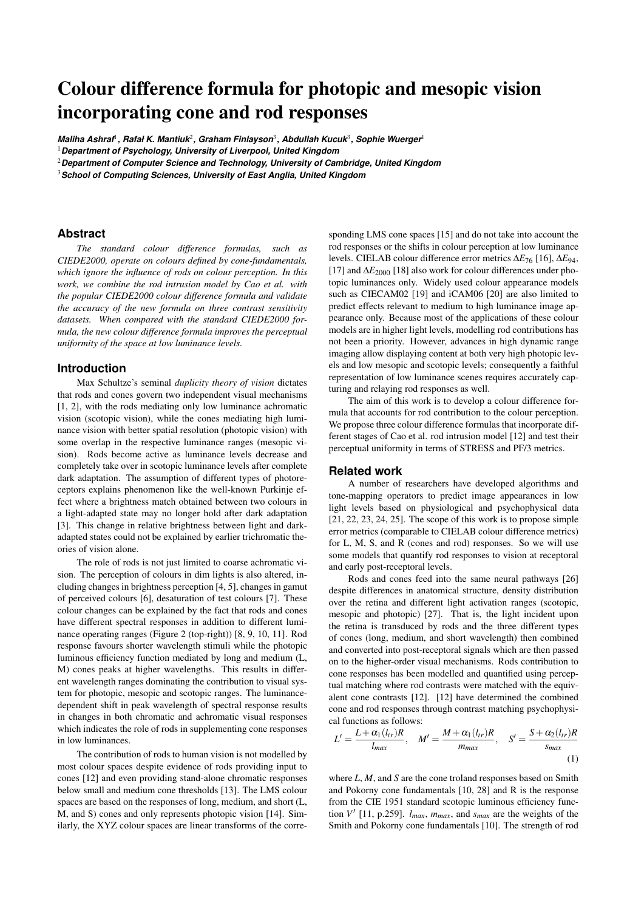# Colour difference formula for photopic and mesopic vision incorporating cone and rod responses

 $\bm{\mathit{Maliha Ashraf^l}}$  , Rafał K. Mantiuk $^2$ , Graham Finlayson $^3$ , Abdullah Kucuk $^3$ , Sophie Wuerger $^1$ 

<sup>1</sup>*Department of Psychology, University of Liverpool, United Kingdom*

<sup>2</sup>*Department of Computer Science and Technology, University of Cambridge, United Kingdom*

<sup>3</sup>*School of Computing Sciences, University of East Anglia, United Kingdom*

#### **Abstract**

*The standard colour difference formulas, such as CIEDE2000, operate on colours defined by cone-fundamentals, which ignore the influence of rods on colour perception. In this work, we combine the rod intrusion model by Cao et al. with the popular CIEDE2000 colour difference formula and validate the accuracy of the new formula on three contrast sensitivity datasets. When compared with the standard CIEDE2000 formula, the new colour difference formula improves the perceptual uniformity of the space at low luminance levels.*

#### **Introduction**

Max Schultze's seminal *duplicity theory of vision* dictates that rods and cones govern two independent visual mechanisms [1, 2], with the rods mediating only low luminance achromatic vision (scotopic vision), while the cones mediating high luminance vision with better spatial resolution (photopic vision) with some overlap in the respective luminance ranges (mesopic vision). Rods become active as luminance levels decrease and completely take over in scotopic luminance levels after complete dark adaptation. The assumption of different types of photoreceptors explains phenomenon like the well-known Purkinje effect where a brightness match obtained between two colours in a light-adapted state may no longer hold after dark adaptation [3]. This change in relative brightness between light and darkadapted states could not be explained by earlier trichromatic theories of vision alone.

The role of rods is not just limited to coarse achromatic vision. The perception of colours in dim lights is also altered, including changes in brightness perception [4, 5], changes in gamut of perceived colours [6], desaturation of test colours [7]. These colour changes can be explained by the fact that rods and cones have different spectral responses in addition to different luminance operating ranges (Figure 2 (top-right)) [8, 9, 10, 11]. Rod response favours shorter wavelength stimuli while the photopic luminous efficiency function mediated by long and medium (L, M) cones peaks at higher wavelengths. This results in different wavelength ranges dominating the contribution to visual system for photopic, mesopic and scotopic ranges. The luminancedependent shift in peak wavelength of spectral response results in changes in both chromatic and achromatic visual responses which indicates the role of rods in supplementing cone responses in low luminances.

The contribution of rods to human vision is not modelled by most colour spaces despite evidence of rods providing input to cones [12] and even providing stand-alone chromatic responses below small and medium cone thresholds [13]. The LMS colour spaces are based on the responses of long, medium, and short (L, M, and S) cones and only represents photopic vision [14]. Similarly, the XYZ colour spaces are linear transforms of the corresponding LMS cone spaces [15] and do not take into account the rod responses or the shifts in colour perception at low luminance levels. CIELAB colour difference error metrics ∆*E*<sup>76</sup> [16], ∆*E*94, [17] and ∆*E*<sup>2000</sup> [18] also work for colour differences under photopic luminances only. Widely used colour appearance models such as CIECAM02 [19] and iCAM06 [20] are also limited to predict effects relevant to medium to high luminance image appearance only. Because most of the applications of these colour models are in higher light levels, modelling rod contributions has not been a priority. However, advances in high dynamic range imaging allow displaying content at both very high photopic levels and low mesopic and scotopic levels; consequently a faithful representation of low luminance scenes requires accurately capturing and relaying rod responses as well.

The aim of this work is to develop a colour difference formula that accounts for rod contribution to the colour perception. We propose three colour difference formulas that incorporate different stages of Cao et al. rod intrusion model [12] and test their perceptual uniformity in terms of STRESS and PF/3 metrics.

#### **Related work**

A number of researchers have developed algorithms and tone-mapping operators to predict image appearances in low light levels based on physiological and psychophysical data  $[21, 22, 23, 24, 25]$ . The scope of this work is to propose simple error metrics (comparable to CIELAB colour difference metrics) for L, M, S, and R (cones and rod) responses. So we will use some models that quantify rod responses to vision at receptoral and early post-receptoral levels.

Rods and cones feed into the same neural pathways [26] despite differences in anatomical structure, density distribution over the retina and different light activation ranges (scotopic, mesopic and photopic) [27]. That is, the light incident upon the retina is transduced by rods and the three different types of cones (long, medium, and short wavelength) then combined and converted into post-receptoral signals which are then passed on to the higher-order visual mechanisms. Rods contribution to cone responses has been modelled and quantified using perceptual matching where rod contrasts were matched with the equivalent cone contrasts [12]. [12] have determined the combined cone and rod responses through contrast matching psychophysical functions as follows:

$$
L' = \frac{L + \alpha_1(l_{tr})R}{l_{max}}, \quad M' = \frac{M + \alpha_1(l_{tr})R}{m_{max}}, \quad S' = \frac{S + \alpha_2(l_{tr})R}{s_{max}}
$$
(1)

where *L*, *M*, and *S* are the cone troland responses based on Smith and Pokorny cone fundamentals [10, 28] and R is the response from the CIE 1951 standard scotopic luminous efficiency function  $V'$  [11, p.259].  $l_{max}$ ,  $m_{max}$ , and  $s_{max}$  are the weights of the Smith and Pokorny cone fundamentals [10]. The strength of rod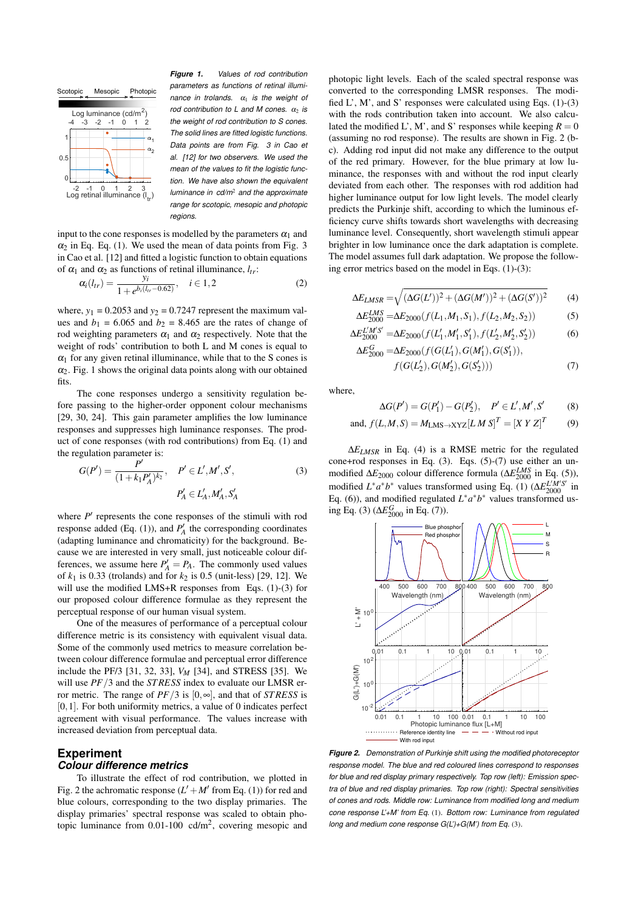

*Figure 1. Values of rod contribution parameters as functions of retinal illuminance in trolands.*  $\alpha_1$  *is the weight of rod contribution to L and M cones.*  $\alpha_2$  *is the weight of rod contribution to S cones. The solid lines are fitted logistic functions. Data points are from Fig. 3 in Cao et al. [12] for two observers. We used the mean of the values to fit the logistic function. We have also shown the equivalent luminance in cd/m*<sup>2</sup> *and the approximate range for scotopic, mesopic and photopic regions.*

input to the cone responses is modelled by the parameters  $\alpha_1$  and  $\alpha_2$  in Eq. (1). We used the mean of data points from Fig. 3 in Cao et al. [12] and fitted a logistic function to obtain equations of  $\alpha_1$  and  $\alpha_2$  as functions of retinal illuminance,  $l_{tr}$ :

$$
\alpha_i(l_{tr}) = \frac{y_i}{1 + e^{b_i(l_{tr} - 0.62)}}, \quad i \in 1, 2
$$
 (2)

where,  $y_1 = 0.2053$  and  $y_2 = 0.7247$  represent the maximum values and  $b_1 = 6.065$  and  $b_2 = 8.465$  are the rates of change of rod weighting parameters  $\alpha_1$  and  $\alpha_2$  respectively. Note that the weight of rods' contribution to both L and M cones is equal to  $\alpha_1$  for any given retinal illuminance, while that to the S cones is  $\alpha_2$ . Fig. 1 shows the original data points along with our obtained fits.

The cone responses undergo a sensitivity regulation before passing to the higher-order opponent colour mechanisms [29, 30, 24]. This gain parameter amplifies the low luminance responses and suppresses high luminance responses. The product of cone responses (with rod contributions) from Eq. (1) and the regulation parameter is:

$$
G(P') = \frac{P'}{(1 + k_1 P'_A)^{k_2}}, \quad P' \in L', M', S',
$$
\n
$$
P'_A \in L'_A, M'_A, S'_A
$$
\n(3)

where  $P'$  represents the cone responses of the stimuli with rod response added (Eq. (1)), and  $P'_A$  the corresponding coordinates (adapting luminance and chromaticity) for the background. Because we are interested in very small, just noticeable colour differences, we assume here  $P'_A = P_A$ . The commonly used values of  $k_1$  is 0.33 (trolands) and for  $k_2$  is 0.5 (unit-less) [29, 12]. We will use the modified LMS+R responses from Eqs. (1)-(3) for our proposed colour difference formulae as they represent the perceptual response of our human visual system.

One of the measures of performance of a perceptual colour difference metric is its consistency with equivalent visual data. Some of the commonly used metrics to measure correlation between colour difference formulae and perceptual error difference include the PF/3 [31, 32, 33], *VM* [34], and STRESS [35]. We will use *PF*/3 and the *ST RESS* index to evaluate our LMSR error metric. The range of  $PF/3$  is  $[0, \infty]$ , and that of *STRESS* is  $[0,1]$ . For both uniformity metrics, a value of 0 indicates perfect agreement with visual performance. The values increase with increased deviation from perceptual data.

# **Experiment**

## *Colour difference metrics*

To illustrate the effect of rod contribution, we plotted in Fig. 2 the achromatic response  $(L' + M'$  from Eq. (1)) for red and blue colours, corresponding to the two display primaries. The display primaries' spectral response was scaled to obtain photopic luminance from 0.01-100 cd/m<sup>2</sup> , covering mesopic and photopic light levels. Each of the scaled spectral response was converted to the corresponding LMSR responses. The modified  $L'$ ,  $M'$ , and  $S'$  responses were calculated using Eqs. (1)-(3) with the rods contribution taken into account. We also calculated the modified L', M', and S' responses while keeping  $R = 0$ (assuming no rod response). The results are shown in Fig. 2 (bc). Adding rod input did not make any difference to the output of the red primary. However, for the blue primary at low luminance, the responses with and without the rod input clearly deviated from each other. The responses with rod addition had higher luminance output for low light levels. The model clearly predicts the Purkinje shift, according to which the luminous efficiency curve shifts towards short wavelengths with decreasing luminance level. Consequently, short wavelength stimuli appear brighter in low luminance once the dark adaptation is complete. The model assumes full dark adaptation. We propose the following error metrics based on the model in Eqs. (1)-(3):

$$
\Delta E_{LMSR} = \sqrt{(\Delta G(L'))^2 + (\Delta G(M'))^2 + (\Delta G(S'))^2}
$$
(4)

$$
\Delta E_{2000}^{LMS} = \Delta E_{2000}(f(L_1, M_1, S_1), f(L_2, M_2, S_2))
$$
 (5)

$$
\Delta E_{2000}^{L'M'S'} = \Delta E_{2000} (f(L'_1, M'_1, S'_1), f(L'_2, M'_2, S'_2))
$$
\n
$$
\Delta E_{2000}^{G} = \Delta E_{2000} (f(G(L'_1), G(M'_1), G(S'_1))),
$$
\n(6)

$$
E_{2000}^{G} = \Delta E_{2000}(f(G(L'_1), G(M'_1), G(S'_1)),
$$
  

$$
f(G(L'_2), G(M'_2), G(S'_2)))
$$
 (7)

where,

$$
\Delta G(P') = G(P'_1) - G(P'_2), \quad P' \in L', M', S' \tag{8}
$$

and, 
$$
f(L,M,S) = M_{LMS \to XYZ}[L \, M \, S]^T = [X \, Y \, Z]^T
$$
 (9)

∆*ELMSR* in Eq. (4) is a RMSE metric for the regulated cone+rod responses in Eq. (3). Eqs. (5)-(7) use either an unmodified  $\Delta E_{2000}$  colour difference formula ( $\Delta E_{2000}^{LMS}$  in Eq. (5)), modified  $L^* a^* b^*$  values transformed using Eq. (1) ( $\Delta E_{2000}^{L'M'S'}$  in Eq. (6)), and modified regulated  $L^* a^* b^*$  values transformed using Eq. (3) (Δ*E*<sup>*G*</sup><sub>2000</sub> in Eq. (7)).



*Figure 2. Demonstration of Purkinje shift using the modified photoreceptor response model. The blue and red coloured lines correspond to responses for blue and red display primary respectively. Top row (left): Emission spectra of blue and red display primaries. Top row (right): Spectral sensitivities of cones and rods. Middle row: Luminance from modified long and medium cone response L'+M' from Eq.* (1)*. Bottom row: Luminance from regulated long and medium cone response G(L')+G(M') from Eq.* (3)*.*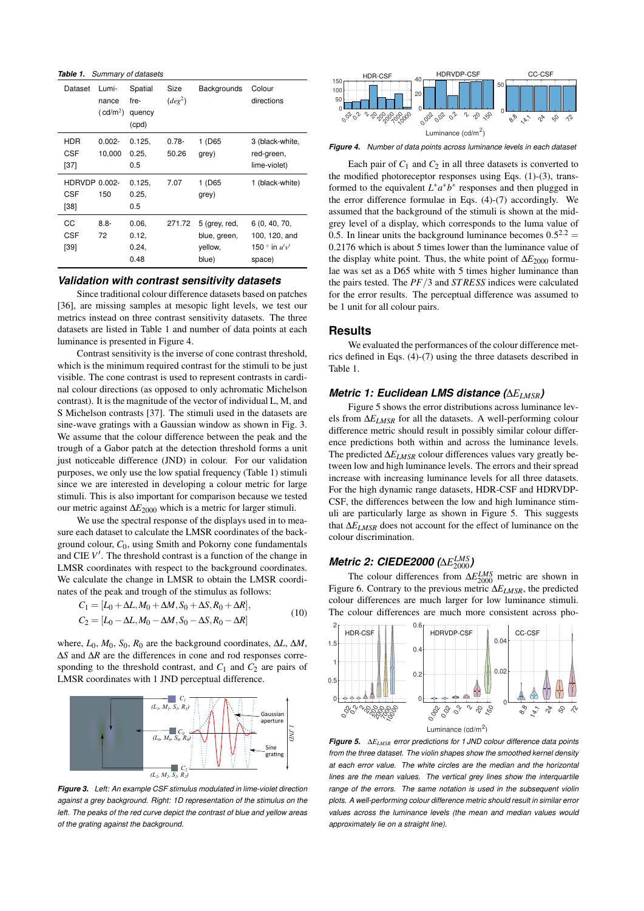*Table 1. Summary of datasets*

| Dataset                          | Lumi-<br>nance<br>(cd/m <sup>2</sup> ) | Spatial<br>fre-<br>quency<br>(cpd) | Size<br>(deg <sup>2</sup> ) | Backgrounds                                       | Colour<br>directions                                                |
|----------------------------------|----------------------------------------|------------------------------------|-----------------------------|---------------------------------------------------|---------------------------------------------------------------------|
| <b>HDR</b><br><b>CSF</b><br>[37] | $0.002 -$<br>10,000                    | 0.125,<br>0.25,<br>0.5             | $0.78 -$<br>50.26           | 1 (D65<br>grey)                                   | 3 (black-white,<br>red-green,<br>lime-violet)                       |
| HDRVDP 0.002-<br>CSF<br>$[38]$   | 150                                    | 0.125.<br>0.25,<br>0.5             | 7.07                        | 1 (D65<br>grey)                                   | 1 (black-white)                                                     |
| CС<br>CSF<br>$[39]$              | $8.8 -$<br>72                          | 0.06,<br>0.12,<br>0.24,<br>0.48    | 271.72                      | 5 (grey, red,<br>blue, green,<br>yellow,<br>blue) | 6(0, 40, 70,<br>100, 120, and<br>150 $^{\circ}$ in $u'v'$<br>space) |

#### *Validation with contrast sensitivity datasets*

Since traditional colour difference datasets based on patches [36], are missing samples at mesopic light levels, we test our metrics instead on three contrast sensitivity datasets. The three datasets are listed in Table 1 and number of data points at each luminance is presented in Figure 4.

Contrast sensitivity is the inverse of cone contrast threshold, which is the minimum required contrast for the stimuli to be just visible. The cone contrast is used to represent contrasts in cardinal colour directions (as opposed to only achromatic Michelson contrast). It is the magnitude of the vector of individual L, M, and S Michelson contrasts [37]. The stimuli used in the datasets are sine-wave gratings with a Gaussian window as shown in Fig. 3. We assume that the colour difference between the peak and the trough of a Gabor patch at the detection threshold forms a unit just noticeable difference (JND) in colour. For our validation purposes, we only use the low spatial frequency (Table 1) stimuli since we are interested in developing a colour metric for large stimuli. This is also important for comparison because we tested our metric against ∆*E*<sup>2000</sup> which is a metric for larger stimuli.

We use the spectral response of the displays used in to measure each dataset to calculate the LMSR coordinates of the background colour, *C*0, using Smith and Pokorny cone fundamentals and CIE *V* ′ . The threshold contrast is a function of the change in LMSR coordinates with respect to the background coordinates. We calculate the change in LMSR to obtain the LMSR coordinates of the peak and trough of the stimulus as follows:

$$
C_1 = [L_0 + \Delta L, M_0 + \Delta M, S_0 + \Delta S, R_0 + \Delta R],
$$
  
\n
$$
C_2 = [L_0 - \Delta L, M_0 - \Delta M, S_0 - \Delta S, R_0 - \Delta R]
$$
\n(10)

where,  $L_0$ ,  $M_0$ ,  $S_0$ ,  $R_0$  are the background coordinates,  $\Delta L$ ,  $\Delta M$ , ∆*S* and ∆*R* are the differences in cone and rod responses corresponding to the threshold contrast, and  $C_1$  and  $C_2$  are pairs of LMSR coordinates with 1 JND perceptual difference.



*Figure 3. Left: An example CSF stimulus modulated in lime-violet direction against a grey background. Right: 1D representation of the stimulus on the left. The peaks of the red curve depict the contrast of blue and yellow areas of the grating against the background.*



*Figure 4. Number of data points across luminance levels in each dataset*

Each pair of  $C_1$  and  $C_2$  in all three datasets is converted to the modified photoreceptor responses using Eqs. (1)-(3), transformed to the equivalent  $L^* a^* b^*$  responses and then plugged in the error difference formulae in Eqs. (4)-(7) accordingly. We assumed that the background of the stimuli is shown at the midgrey level of a display, which corresponds to the luma value of 0.5. In linear units the background luminance becomes  $0.5^{2.2}$  = 0.2176 which is about 5 times lower than the luminance value of the display white point. Thus, the white point of Δ*E*<sub>2000</sub> formulae was set as a D65 white with 5 times higher luminance than the pairs tested. The *PF*/3 and *ST RESS* indices were calculated for the error results. The perceptual difference was assumed to be 1 unit for all colour pairs.

#### **Results**

We evaluated the performances of the colour difference metrics defined in Eqs. (4)-(7) using the three datasets described in Table 1.

#### *Metric 1: Euclidean LMS distance (*∆*ELMSR)*

Figure 5 shows the error distributions across luminance levels from ∆*ELMSR* for all the datasets. A well-performing colour difference metric should result in possibly similar colour difference predictions both within and across the luminance levels. The predicted ∆*ELMSR* colour differences values vary greatly between low and high luminance levels. The errors and their spread increase with increasing luminance levels for all three datasets. For the high dynamic range datasets, HDR-CSF and HDRVDP-CSF, the differences between the low and high luminance stimuli are particularly large as shown in Figure 5. This suggests that ∆*ELMSR* does not account for the effect of luminance on the colour discrimination.

# *Metric 2: CIEDE2000 (∆* $E^{LMS}_{2000}$ *)*

The colour differences from ∆*E LMS* <sup>2000</sup> metric are shown in Figure 6. Contrary to the previous metric ∆*ELMSR*, the predicted colour differences are much larger for low luminance stimuli. The colour differences are much more consistent across pho-



*Figure 5.* ∆*ELMSR error predictions for 1 JND colour difference data points from the three dataset. The violin shapes show the smoothed kernel density at each error value. The white circles are the median and the horizontal lines are the mean values. The vertical grey lines show the interquartile range of the errors. The same notation is used in the subsequent violin plots. A well-performing colour difference metric should result in similar error values across the luminance levels (the mean and median values would approximately lie on a straight line).*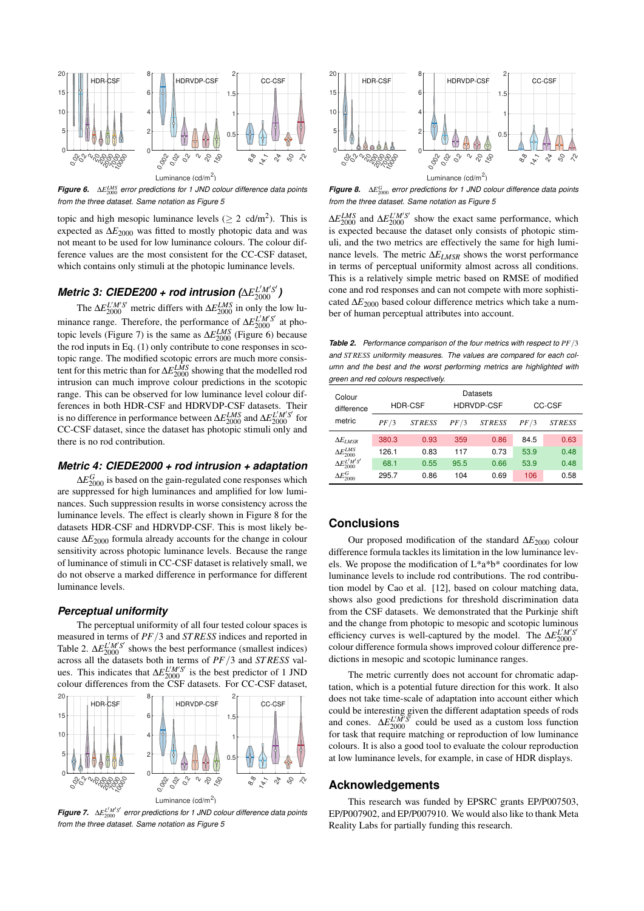

*Figure 6.* ∆*E LMS* <sup>2000</sup> *error predictions for 1 JND colour difference data points from the three dataset. Same notation as Figure 5*

topic and high mesopic luminance levels ( $\geq 2$  cd/m<sup>2</sup>). This is expected as ∆*E*<sup>2000</sup> was fitted to mostly photopic data and was not meant to be used for low luminance colours. The colour difference values are the most consistent for the CC-CSF dataset, which contains only stimuli at the photopic luminance levels.

# *Metric 3: CIEDE200 + rod intrusion (*∆*E L* ′*M*′*S* ′ <sup>2000</sup> *)*

The  $\Delta E_{2000}^{L'M'S'}$  metric differs with  $\Delta E_{2000}^{LMS}$  in only the low luminance range. Therefore, the performance of  $\Delta E_{2000}^{L'M'S'}$  at photopic levels (Figure 7) is the same as ∆*E LMS* <sup>2000</sup> (Figure 6) because the rod inputs in Eq. (1) only contribute to cone responses in scotopic range. The modified scotopic errors are much more consistent for this metric than for  $\Delta E_{2000}^{LMS}$  showing that the modelled rod intrusion can much improve colour predictions in the scotopic range. This can be observed for low luminance level colour differences in both HDR-CSF and HDRVDP-CSF datasets. Their is no difference in performance between  $\Delta E_{2000}^{LMS}$  and  $\Delta E_{2000}^{L'M'S'}$  for CC-CSF dataset, since the dataset has photopic stimuli only and there is no rod contribution.

#### *Metric 4: CIEDE2000 + rod intrusion + adaptation*

 $\Delta E_{2000}^G$  is based on the gain-regulated cone responses which are suppressed for high luminances and amplified for low luminances. Such suppression results in worse consistency across the luminance levels. The effect is clearly shown in Figure 8 for the datasets HDR-CSF and HDRVDP-CSF. This is most likely because ∆*E*<sup>2000</sup> formula already accounts for the change in colour sensitivity across photopic luminance levels. Because the range of luminance of stimuli in CC-CSF dataset is relatively small, we do not observe a marked difference in performance for different luminance levels.

#### *Perceptual uniformity*

The perceptual uniformity of all four tested colour spaces is measured in terms of *PF*/3 and *ST RESS* indices and reported in Table 2.  $\Delta E_{2000}^{L'M'S'}$  shows the best performance (smallest indices) across all the datasets both in terms of *PF*/3 and *ST RESS* values. This indicates that  $\Delta E_{2000}^{L'M'S'}$  is the best predictor of 1 JND colour differences from the CSF datasets. For CC-CSF dataset,



*Figure 7.* ∆*E L* ′*M*′*S* ′ <sup>2000</sup> *error predictions for 1 JND colour difference data points from the three dataset. Same notation as Figure 5*



*Figure 8.* ∆*E G* <sup>2000</sup> *error predictions for 1 JND colour difference data points from the three dataset. Same notation as Figure 5*

 $\Delta E_{2000}^{LMS}$  and  $\Delta E_{2000}^{L/M'S'}$  show the exact same performance, which is expected because the dataset only consists of photopic stimuli, and the two metrics are effectively the same for high luminance levels. The metric ∆*ELMSR* shows the worst performance in terms of perceptual uniformity almost across all conditions. This is a relatively simple metric based on RMSE of modified cone and rod responses and can not compete with more sophisticated ∆*E*<sup>2000</sup> based colour difference metrics which take a number of human perceptual attributes into account.

*Table 2. Performance comparison of the four metrics with respect to PF*/3 *and ST RESS uniformity measures. The values are compared for each column and the best and the worst performing metrics are highlighted with green and red colours respectively.*

| Colour<br>difference       | <b>HDR-CSF</b> |               | Datasets<br><b>HDRVDP-CSF</b> |               | CC-CSF |               |
|----------------------------|----------------|---------------|-------------------------------|---------------|--------|---------------|
| metric                     | PF/3           | <b>STRESS</b> | PF/3                          | <b>STRESS</b> | PF/3   | <b>STRESS</b> |
| $\Delta E_{LMSR}$          | 380.3          | 0.93          | 359                           | 0.86          | 84.5   | 0.63          |
| $\Delta E_{2000}^{LMS}$    | 126.1          | 0.83          | 117                           | 0.73          | 53.9   | 0.48          |
| $\Delta E_{2000}^{L'M'S'}$ | 68.1           | 0.55          | 95.5                          | 0.66          | 53.9   | 0.48          |
| $\Delta E_{2000}^G$        | 295.7          | 0.86          | 104                           | 0.69          | 106    | 0.58          |

### **Conclusions**

Our proposed modification of the standard ∆*E*<sup>2000</sup> colour difference formula tackles its limitation in the low luminance levels. We propose the modification of  $L^*a^*b^*$  coordinates for low luminance levels to include rod contributions. The rod contribution model by Cao et al. [12], based on colour matching data, shows also good predictions for threshold discrimination data from the CSF datasets. We demonstrated that the Purkinje shift and the change from photopic to mesopic and scotopic luminous efficiency curves is well-captured by the model. The  $\Delta E_{2000}^{L'M'S}$ colour difference formula shows improved colour difference predictions in mesopic and scotopic luminance ranges.

The metric currently does not account for chromatic adaptation, which is a potential future direction for this work. It also does not take time-scale of adaptation into account either which could be interesting given the different adaptation speeds of rods and cones.  $\Delta E_{2000}^{L'M'S'}$  could be used as a custom loss function for task that require matching or reproduction of low luminance colours. It is also a good tool to evaluate the colour reproduction at low luminance levels, for example, in case of HDR displays.

## **Acknowledgements**

This research was funded by EPSRC grants EP/P007503, EP/P007902, and EP/P007910. We would also like to thank Meta Reality Labs for partially funding this research.